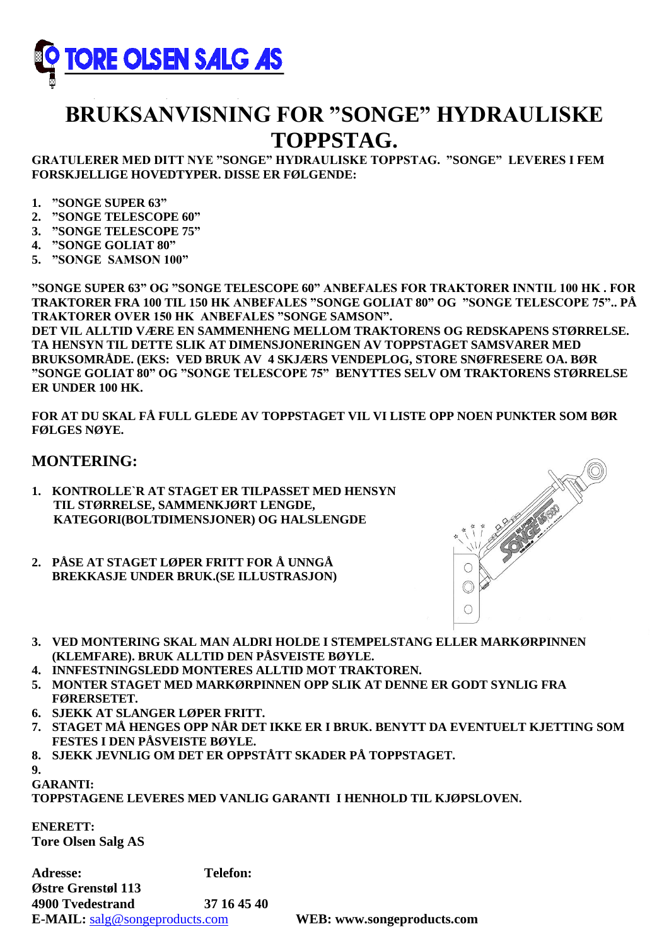

## **BRUKSANVISNING FOR "SONGE" HYDRAULISKE TOPPSTAG.**

**GRATULERER MED DITT NYE "SONGE" HYDRAULISKE TOPPSTAG. "SONGE" LEVERES I FEM FORSKJELLIGE HOVEDTYPER. DISSE ER FØLGENDE:**

- **1. "SONGE SUPER 63"**
- **2. "SONGE TELESCOPE 60"**
- **3. "SONGE TELESCOPE 75"**
- **4. "SONGE GOLIAT 80"**
- **5. "SONGE SAMSON 100"**

**"SONGE SUPER 63" OG "SONGE TELESCOPE 60" ANBEFALES FOR TRAKTORER INNTIL 100 HK . FOR TRAKTORER FRA 100 TIL 150 HK ANBEFALES "SONGE GOLIAT 80" OG "SONGE TELESCOPE 75".. PÅ TRAKTORER OVER 150 HK ANBEFALES "SONGE SAMSON".**

**DET VIL ALLTID VÆRE EN SAMMENHENG MELLOM TRAKTORENS OG REDSKAPENS STØRRELSE. TA HENSYN TIL DETTE SLIK AT DIMENSJONERINGEN AV TOPPSTAGET SAMSVARER MED BRUKSOMRÅDE. (EKS: VED BRUK AV 4 SKJÆRS VENDEPLOG, STORE SNØFRESERE OA. BØR "SONGE GOLIAT 80" OG "SONGE TELESCOPE 75" BENYTTES SELV OM TRAKTORENS STØRRELSE ER UNDER 100 HK.**

**FOR AT DU SKAL FÅ FULL GLEDE AV TOPPSTAGET VIL VI LISTE OPP NOEN PUNKTER SOM BØR FØLGES NØYE.**

## **MONTERING:**

- **1. KONTROLLE`R AT STAGET ER TILPASSET MED HENSYN TIL STØRRELSE, SAMMENKJØRT LENGDE, KATEGORI(BOLTDIMENSJONER) OG HALSLENGDE**
- **2. PÅSE AT STAGET LØPER FRITT FOR Å UNNGÅ BREKKASJE UNDER BRUK.(SE ILLUSTRASJON)**



- **3. VED MONTERING SKAL MAN ALDRI HOLDE I STEMPELSTANG ELLER MARKØRPINNEN (KLEMFARE). BRUK ALLTID DEN PÅSVEISTE BØYLE.**
- **4. INNFESTNINGSLEDD MONTERES ALLTID MOT TRAKTOREN.**
- **5. MONTER STAGET MED MARKØRPINNEN OPP SLIK AT DENNE ER GODT SYNLIG FRA FØRERSETET.**
- **6. SJEKK AT SLANGER LØPER FRITT.**
- **7. STAGET MÅ HENGES OPP NÅR DET IKKE ER I BRUK. BENYTT DA EVENTUELT KJETTING SOM FESTES I DEN PÅSVEISTE BØYLE.**
- **8. SJEKK JEVNLIG OM DET ER OPPSTÅTT SKADER PÅ TOPPSTAGET.**

**9.**

**GARANTI:**

**TOPPSTAGENE LEVERES MED VANLIG GARANTI I HENHOLD TIL KJØPSLOVEN.**

**ENERETT:**

**Tore Olsen Salg AS**

**Adresse: Telefon: Østre Grenstøl 113 4900 Tvedestrand 37 16 45 40 E-MAIL:** [salg@songeproducts.com](mailto:salg@songeproducts.com) **WEB: www.songeproducts.com**